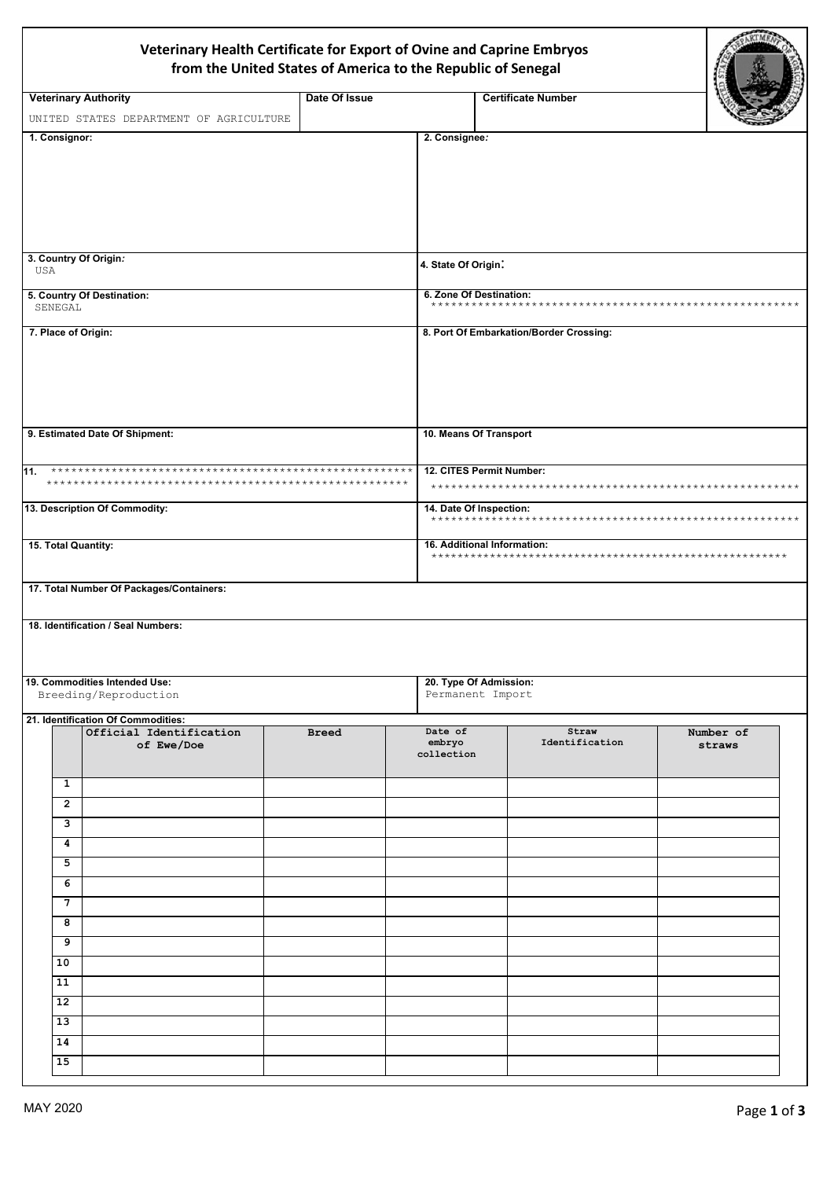## Veterinary Health Certificate for Export of Ovine and Caprine Embryos from the United States of America to the Republic of Senegal

| <b>Veterinary Authority</b>              |               |                        |                                         |           |  |  |
|------------------------------------------|---------------|------------------------|-----------------------------------------|-----------|--|--|
|                                          | Date Of Issue |                        | <b>Certificate Number</b>               |           |  |  |
| UNITED STATES DEPARTMENT OF AGRICULTURE  |               |                        |                                         |           |  |  |
| 1. Consignor:                            |               | 2. Consignee:          |                                         |           |  |  |
|                                          |               |                        |                                         |           |  |  |
|                                          |               |                        |                                         |           |  |  |
|                                          |               |                        |                                         |           |  |  |
|                                          |               |                        |                                         |           |  |  |
|                                          |               |                        |                                         |           |  |  |
| 3. Country Of Origin:                    |               |                        |                                         |           |  |  |
| USA                                      |               | 4. State Of Origin:    |                                         |           |  |  |
| 5. Country Of Destination:               |               |                        | 6. Zone Of Destination:                 |           |  |  |
| SENEGAL                                  |               |                        |                                         |           |  |  |
| 7. Place of Origin:                      |               |                        | 8. Port Of Embarkation/Border Crossing: |           |  |  |
|                                          |               |                        |                                         |           |  |  |
|                                          |               |                        |                                         |           |  |  |
|                                          |               |                        |                                         |           |  |  |
|                                          |               |                        |                                         |           |  |  |
|                                          |               |                        |                                         |           |  |  |
| 9. Estimated Date Of Shipment:           |               | 10. Means Of Transport |                                         |           |  |  |
|                                          |               |                        |                                         |           |  |  |
| 11.                                      |               |                        | 12. CITES Permit Number:                |           |  |  |
|                                          |               |                        |                                         |           |  |  |
| 13. Description Of Commodity:            |               |                        | 14. Date Of Inspection:                 |           |  |  |
|                                          |               |                        |                                         |           |  |  |
| 15. Total Quantity:                      |               |                        | 16. Additional Information:             |           |  |  |
|                                          |               |                        |                                         |           |  |  |
| 17. Total Number Of Packages/Containers: |               |                        |                                         |           |  |  |
|                                          |               |                        |                                         |           |  |  |
|                                          |               |                        |                                         |           |  |  |
| 18. Identification / Seal Numbers:       |               |                        |                                         |           |  |  |
|                                          |               |                        |                                         |           |  |  |
|                                          |               |                        |                                         |           |  |  |
| 19. Commodities Intended Use:            |               |                        | 20. Type Of Admission:                  |           |  |  |
| Breeding/Reproduction                    |               |                        | Permanent Import                        |           |  |  |
| 21. Identification Of Commodities:       |               |                        |                                         |           |  |  |
| Official Identification                  | <b>Breed</b>  | Date of                | Straw                                   | Number of |  |  |
| of Ewe/Doe                               |               | embryo<br>collection   | Identification                          | straws    |  |  |
|                                          |               |                        |                                         |           |  |  |
| 1                                        |               |                        |                                         |           |  |  |
| $\overline{2}$                           |               |                        |                                         |           |  |  |
| 3                                        |               |                        |                                         |           |  |  |
| 4                                        |               |                        |                                         |           |  |  |
| 5                                        |               |                        |                                         |           |  |  |
| 6                                        |               |                        |                                         |           |  |  |
| 7                                        |               |                        |                                         |           |  |  |
| 8                                        |               |                        |                                         |           |  |  |
| 9                                        |               |                        |                                         |           |  |  |
| 10                                       |               |                        |                                         |           |  |  |
| 11                                       |               |                        |                                         |           |  |  |
|                                          |               |                        |                                         |           |  |  |
| 12 <sub>2</sub>                          |               |                        |                                         |           |  |  |
| 13                                       |               |                        |                                         |           |  |  |
| 14<br>15                                 |               |                        |                                         |           |  |  |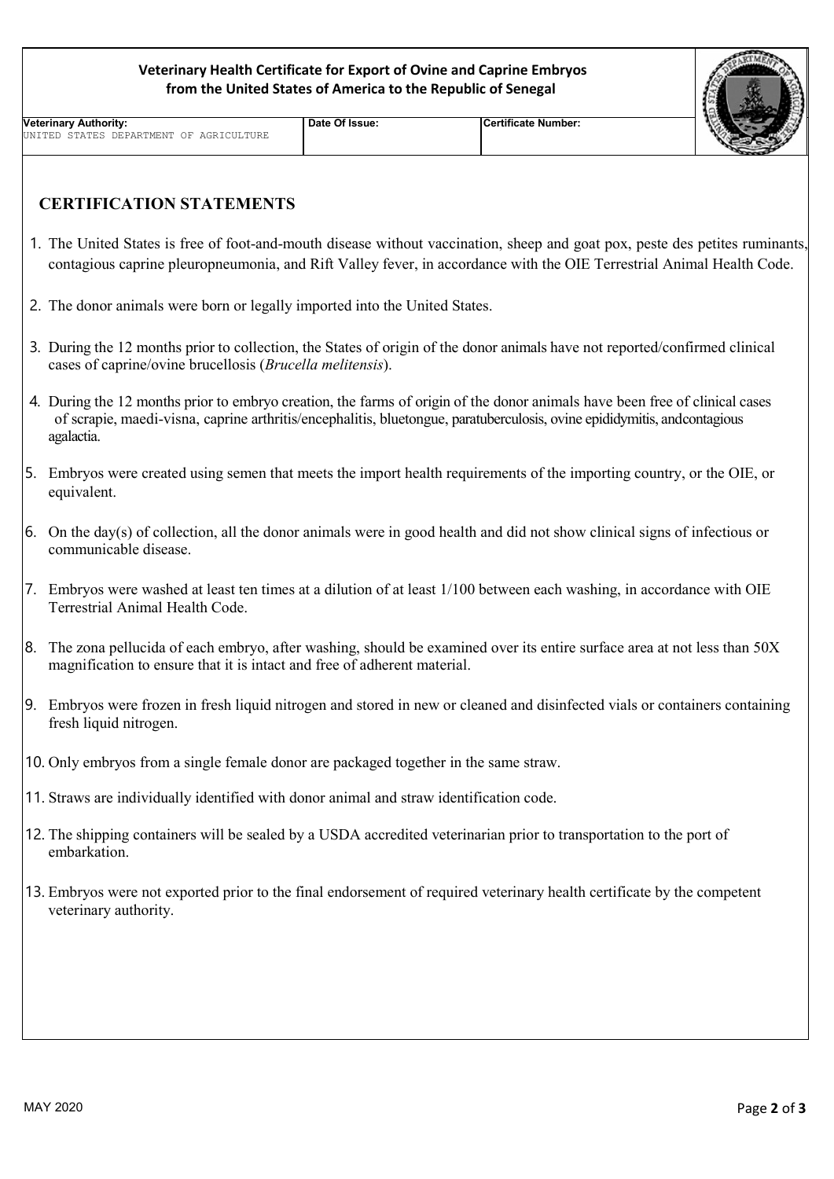## **Veterinary Health Certificate for Export of Ovine and Caprine Embryos from the United States of America to the Republic of Senegal**

| Veterinary Authority: |  |  |  |                                         |  |  |  |  |
|-----------------------|--|--|--|-----------------------------------------|--|--|--|--|
|                       |  |  |  | UNITED STATES DEPARTMENT OF AGRICULTURE |  |  |  |  |

## **Date Of Issue: Certificate Number:**

## **CERTIFICATION STATEMENTS**

- 1. The United States is free of foot-and-mouth disease without vaccination, sheep and goat pox, peste des petites ruminants, contagious caprine pleuropneumonia, and Rift Valley fever, in accordance with the OIE Terrestrial Animal Health Code.
- 2. The donor animals were born or legally imported into the United States.
- 3. During the 12 months prior to collection, the States of origin of the donor animals have not reported/confirmed clinical cases of caprine/ovine brucellosis (*Brucella melitensis*).
- 4. During the 12 months prior to embryo creation, the farms of origin of the donor animals have been free of clinical cases of scrapie, maedi-visna, caprine arthritis/encephalitis, bluetongue, paratuberculosis, ovine epididymitis, andcontagious agalactia.
- 5. Embryos were created using semen that meets the import health requirements of the importing country, or the OIE, or equivalent.
- 6. On the day(s) of collection, all the donor animals were in good health and did not show clinical signs of infectious or communicable disease.
- 7. Embryos were washed at least ten times at a dilution of at least 1/100 between each washing, in accordance with OIE Terrestrial Animal Health Code.
- 8. The zona pellucida of each embryo, after washing, should be examined over its entire surface area at not less than 50X magnification to ensure that it is intact and free of adherent material.
- 9. Embryos were frozen in fresh liquid nitrogen and stored in new or cleaned and disinfected vials or containers containing fresh liquid nitrogen.
- 10. Only embryos from a single female donor are packaged together in the same straw.
- 11. Straws are individually identified with donor animal and straw identification code.
- 12. The shipping containers will be sealed by a USDA accredited veterinarian prior to transportation to the port of embarkation.
- 13. Embryos were not exported prior to the final endorsement of required veterinary health certificate by the competent veterinary authority.